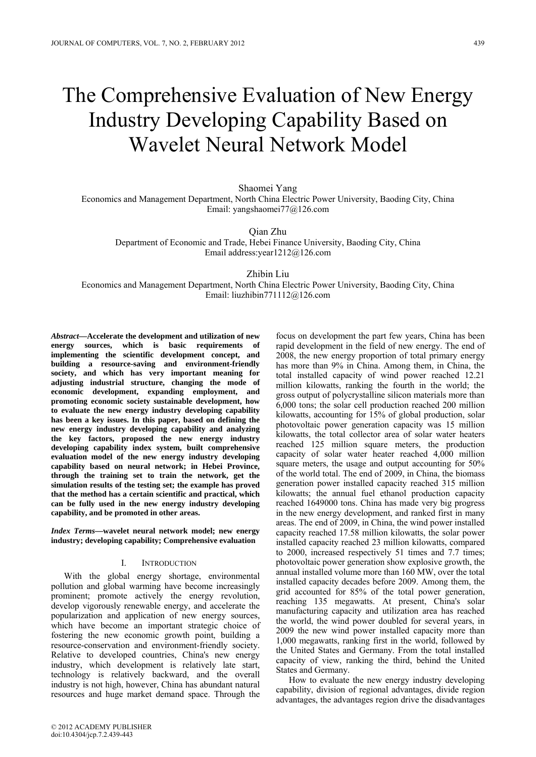# The Comprehensive Evaluation of New Energy Industry Developing Capability Based on Wavelet Neural Network Model

Shaomei Yang

Economics and Management Department, North China Electric Power University, Baoding City, China Email: yangshaomei77@126.com

Qian Zhu

Department of Economic and Trade, Hebei Finance University, Baoding City, China Email address:year1212@126.com

Zhibin Liu

Economics and Management Department, North China Electric Power University, Baoding City, China Email: liuzhibin771112@126.com

*Abstract***—Accelerate the development and utilization of new energy sources, which is basic requirements of implementing the scientific development concept, and building a resource-saving and environment-friendly society, and which has very important meaning for adjusting industrial structure, changing the mode of economic development, expanding employment, and promoting economic society sustainable development, how to evaluate the new energy industry developing capability has been a key issues. In this paper, based on defining the new energy industry developing capability and analyzing the key factors, proposed the new energy industry developing capability index system, built comprehensive evaluation model of the new energy industry developing capability based on neural network; in Hebei Province, through the training set to train the network, get the simulation results of the testing set; the example has proved that the method has a certain scientific and practical, which can be fully used in the new energy industry developing capability, and be promoted in other areas.**

*Index Terms—***wavelet neural network model; new energy industry; developing capability; Comprehensive evaluation**

## I. INTRODUCTION

With the global energy shortage, environmental pollution and global warming have become increasingly prominent; promote actively the energy revolution, develop vigorously renewable energy, and accelerate the popularization and application of new energy sources, which have become an important strategic choice of fostering the new economic growth point, building a resource-conservation and environment-friendly society. Relative to developed countries, China's new energy industry, which development is relatively late start, technology is relatively backward, and the overall industry is not high, however, China has abundant natural resources and huge market demand space. Through the

focus on development the part few years, China has been rapid development in the field of new energy. The end of 2008, the new energy proportion of total primary energy has more than 9% in China. Among them, in China, the total installed capacity of wind power reached 12.21 million kilowatts, ranking the fourth in the world; the gross output of polycrystalline silicon materials more than 6,000 tons; the solar cell production reached 200 million kilowatts, accounting for 15% of global production, solar photovoltaic power generation capacity was 15 million kilowatts, the total collector area of solar water heaters reached 125 million square meters, the production capacity of solar water heater reached 4,000 million square meters, the usage and output accounting for 50% of the world total. The end of 2009, in China, the biomass generation power installed capacity reached 315 million kilowatts; the annual fuel ethanol production capacity reached 1649000 tons. China has made very big progress in the new energy development, and ranked first in many areas. The end of 2009, in China, the wind power installed capacity reached 17.58 million kilowatts, the solar power installed capacity reached 23 million kilowatts, compared to 2000, increased respectively 51 times and 7.7 times; photovoltaic power generation show explosive growth, the annual installed volume more than 160 MW, over the total installed capacity decades before 2009. Among them, the grid accounted for 85% of the total power generation, reaching 135 megawatts. At present, China's solar manufacturing capacity and utilization area has reached the world, the wind power doubled for several years, in 2009 the new wind power installed capacity more than 1,000 megawatts, ranking first in the world, followed by the United States and Germany. From the total installed capacity of view, ranking the third, behind the United States and Germany.

How to evaluate the new energy industry developing capability, division of regional advantages, divide region advantages, the advantages region drive the disadvantages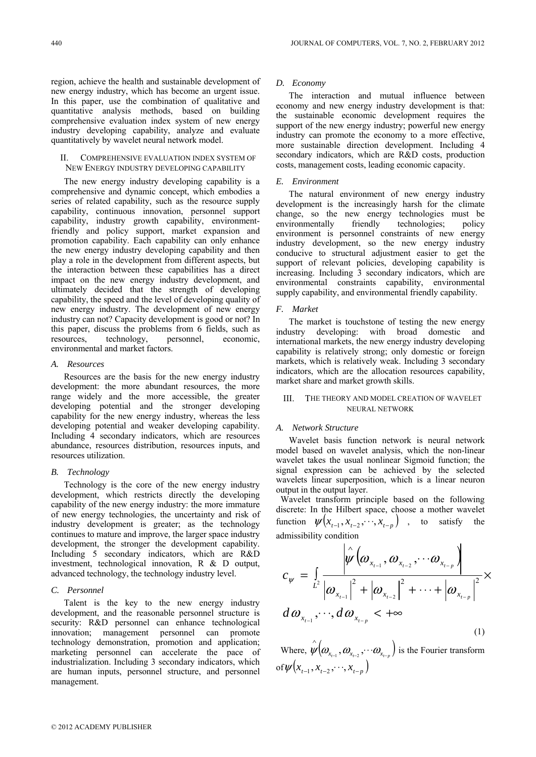region, achieve the health and sustainable development of new energy industry, which has become an urgent issue. In this paper, use the combination of qualitative and quantitative analysis methods, based on building comprehensive evaluation index system of new energy industry developing capability, analyze and evaluate quantitatively by wavelet neural network model.

# II. COMPREHENSIVE EVALUATION INDEX SYSTEM OF NEW ENERGY INDUSTRY DEVELOPING CAPABILITY

The new energy industry developing capability is a comprehensive and dynamic concept, which embodies a series of related capability, such as the resource supply capability, continuous innovation, personnel support capability, industry growth capability, environmentfriendly and policy support, market expansion and promotion capability. Each capability can only enhance the new energy industry developing capability and then play a role in the development from different aspects, but the interaction between these capabilities has a direct impact on the new energy industry development, and ultimately decided that the strength of developing capability, the speed and the level of developing quality of new energy industry. The development of new energy industry can not? Capacity development is good or not? In this paper, discuss the problems from 6 fields, such as resources, technology, personnel, economic, environmental and market factors.

#### *A. Resources*

Resources are the basis for the new energy industry development: the more abundant resources, the more range widely and the more accessible, the greater developing potential and the stronger developing capability for the new energy industry, whereas the less developing potential and weaker developing capability. Including 4 secondary indicators, which are resources abundance, resources distribution, resources inputs, and resources utilization.

# *B. Technology*

Technology is the core of the new energy industry development, which restricts directly the developing capability of the new energy industry: the more immature of new energy technologies, the uncertainty and risk of industry development is greater; as the technology continues to mature and improve, the larger space industry development, the stronger the development capability. Including 5 secondary indicators, which are R&D investment, technological innovation, R & D output, advanced technology, the technology industry level.

#### *C. Personnel*

Talent is the key to the new energy industry development, and the reasonable personnel structure is security: R&D personnel can enhance technological innovation; management personnel can promote technology demonstration, promotion and application; marketing personnel can accelerate the pace of industrialization. Including 3 secondary indicators, which are human inputs, personnel structure, and personnel management.

# *D. Economy*

The interaction and mutual influence between economy and new energy industry development is that: the sustainable economic development requires the support of the new energy industry; powerful new energy industry can promote the economy to a more effective, more sustainable direction development. Including 4 secondary indicators, which are R&D costs, production costs, management costs, leading economic capacity.

#### *E. Environment*

The natural environment of new energy industry development is the increasingly harsh for the climate change, so the new energy technologies must be environmentally friendly technologies; policy environment is personnel constraints of new energy industry development, so the new energy industry conducive to structural adjustment easier to get the support of relevant policies, developing capability is increasing. Including 3 secondary indicators, which are environmental constraints capability, environmental supply capability, and environmental friendly capability.

#### *F. Market*

The market is touchstone of testing the new energy industry developing: with broad domestic and international markets, the new energy industry developing capability is relatively strong; only domestic or foreign markets, which is relatively weak. Including 3 secondary indicators, which are the allocation resources capability, market share and market growth skills.

# III. THE THEORY AND MODEL CREATION OF WAVELET NEURAL NETWORK

#### *A. Network Structure*

Wavelet basis function network is neural network model based on wavelet analysis, which the non-linear wavelet takes the usual nonlinear Sigmoid function; the signal expression can be achieved by the selected wavelets linear superposition, which is a linear neuron output in the output layer.

Wavelet transform principle based on the following discrete: In the Hilbert space, choose a mother wavelet function  $\psi ( x_{t-1}, x_{t-2}, \dots, x_{t-p} )$  , to satisfy the admissibility condition

$$
c_{\psi} = \int_{L^2} \frac{\left|\hat{\psi}\left(\omega_{x_{t-1}}, \omega_{x_{t-2}}, \cdots \omega_{x_{t-p}}\right)\right|}{\left|\omega_{x_{t-1}}\right|^2 + \left|\omega_{x_{t-2}}\right|^2 + \cdots + \left|\omega_{x_{t-p}}\right|^2} \times d\omega_{x_{t-1}}, \cdots, d\omega_{x_{t-p}} \leq +\infty
$$
\n(1)

Where,  $\hat{\psi}$   $(\omega_{x_{t-1}}, \omega_{x_{t-2}}, \cdots \omega_{x_{t-p}})$  is the Fourier transform of  $\psi(x_{t-1}, x_{t-2}, \dots, x_{t-p})$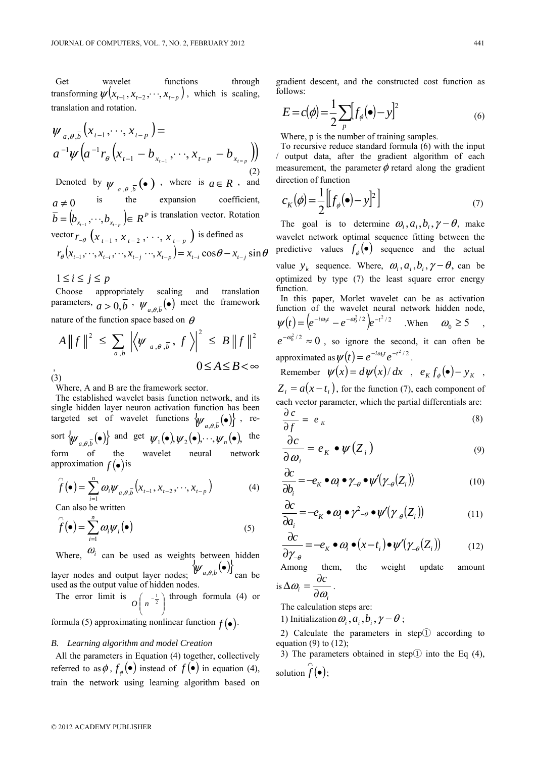Get wavelet functions through transforming  $\psi$   $(x_{t-1}, x_{t-2}, \dots, x_{t-n})$ , which is scaling, translation and rotation.

$$
\psi_{a,\theta,\overline{b}}(x_{t-1},\dots,x_{t-p}) = a^{-1}\psi\big(a^{-1}r_{\theta}\big(x_{t-1}-b_{x_{t-1}},\dots,x_{t-p}-b_{x_{t-p}}\big)\big)
$$
\n(2)

Denoted by  $\psi_{a,\theta,\overline{b}}(\bullet)$  , where is  $a \in R$  , and  $a \neq 0$  is the expansion coefficient,  $\overline{b} = (b_{x_{r-1}}, \dots, b_{x_{r-p}}) \in R^p$  is translation vector. Rotation vector  $r_{-\theta}$   $(x_{t-1}, x_{t-2}, \dots, x_{t-p})$  is defined as  $r_{\theta}(x_{t-1},...,x_{t-1},...,x_{t-1},...,x_{t-n}) = x_{t-1} \cos \theta - x_{t-1} \sin \theta$ 

 $1 \leq i \leq j \leq p$ 

Choose appropriately scaling and translation parameters,  $a > 0$ ,  $\overline{b}$ ,  $\psi_{a,\theta,\overline{b}}(\bullet)$  meet the framework nature of the function space based on  $\theta$ 

$$
A \|f\|^2 \le \sum_{a,b} \left| \langle \psi_{a,\theta,\overline{b}}, f \rangle \right|^2 \le B \|f\|^2
$$
  
(3)

Where, A and B are the framework sector.

The established wavelet basis function network, and its single hidden layer neuron activation function has been targeted set of wavelet functions  $\{\psi_{a,\theta,\bar{b}}(\bullet)\}$ , resort  $\{\psi_{a,\theta,\overline{b}}(\bullet)\}\$  and get  $\psi_1(\bullet), \psi_2(\bullet), \dots, \psi_n(\bullet),\$  the form of the wavelet neural network approximation  $f(\bullet)$  is

$$
\widehat{f}(\bullet) = \sum_{i=1}^{n} \omega_i \psi_{a,\theta,\overline{b}}(x_{t-1}, x_{t-2}, \cdots, x_{t-p})
$$
\n(4)

Can also be written

$$
\widehat{f}(\bullet) = \sum_{i=1}^{n} \omega_i \psi_i(\bullet)
$$
\n(5)

Where,  $\omega_i$  can be used as weights between hidden layer nodes and output layer nodes;  $\{\psi_{a,\theta,\overline{b}}(\bullet)\}_{\text{can be}}$ used as the output value of hidden nodes.

The error limit is ⎟ ⎟ ⎠ ⎞  $\parallel$ ⎝  $O\left(n^{-\frac{1}{2}}\right)$  through formula (4) or

formula (5) approximating nonlinear function  $f(\bullet)$ .

# *B. Learning algorithm and model Creation*

All the parameters in Equation (4) together, collectively referred to as  $\phi$ ,  $f_{\phi}(\bullet)$  instead of  $f(\bullet)$  in equation (4), train the network using learning algorithm based on gradient descent, and the constructed cost function as follows:

$$
E = c(\phi) = \frac{1}{2} \sum_{p} [f_{\phi}(\bullet) - y]^2
$$
 (6)

Where, p is the number of training samples.

To recursive reduce standard formula (6) with the input / output data, after the gradient algorithm of each measurement, the parameter  $\phi$  retard along the gradient direction of function

$$
c_K(\phi) = \frac{1}{2} \left[ \left[ f_{\phi}(\bullet) - y \right]^2 \right] \tag{7}
$$

The goal is to determine  $\omega_i$ ,  $a_i$ ,  $b_i$ ,  $\gamma - \theta$ , make wavelet network optimal sequence fitting between the predictive values  $f_{\phi}(\bullet)$  sequence and the actual value  $y_k$  sequence. Where,  $\omega_i$ ,  $a_i$ ,  $b_i$ ,  $\gamma - \theta$ , can be optimized by type (7) the least square error energy function. In this paper, Morlet wavelet can be as activation

function of the wavelet neural network hidden node,  $W(t) = \left( e^{-i\omega_0 t} - e^{-\omega_0^2/2} \right) e^{-t^2/2}$  .When  $\omega_0 \ge 5$  $e^{-\omega_0^2/2} \approx 0$ , so ignore the second, it can often be

approximated as  $\psi(t) = e^{-i\omega_0 t} e^{-t^2/2}$ .

Remember  $\psi(x) = d\psi(x)/dx$ ,  $e_K f_\phi(\bullet) - y_K$ ,  $Z_i = a(x - t_i)$ , for the function (7), each component of each vector parameter, which the partial differentials are:

$$
\frac{\partial c}{\partial f} = e_K \tag{8}
$$

$$
\frac{\partial c}{\partial \omega_i} = e_K \bullet \psi(Z_i)
$$
\n(9)

$$
\frac{\partial c}{\partial b_i} = -e_K \bullet \omega_i \bullet \gamma_{-\theta} \bullet \psi'(\gamma_{-\theta}(Z_i))
$$
\n(10)

$$
\frac{\partial c}{\partial a_i} = -e_K \bullet \omega_i \bullet \gamma^2_{-\theta} \bullet \psi'(\gamma_{-\theta}(Z_i))
$$
\n(11)

$$
\frac{\partial c}{\partial \gamma_{-\theta}} = -e_K \bullet \omega_i \bullet (x - t_i) \bullet \psi'(\gamma_{-\theta}(Z_i)) \tag{12}
$$

Among them, the weight update amount  $\Delta \omega_i = \frac{\partial c}{\partial \omega_i}$ .

is 
$$
\Delta \omega_i = \frac{\partial \omega_i}{\partial \omega_i}
$$

The calculation steps are:

1) Initialization  $\omega_i$ ,  $a_i$ ,  $b_i$ ,  $\gamma - \theta$ ;

2) Calculate the parameters in step① according to equation  $(9)$  to  $(12)$ ;

3) The parameters obtained in step $\overline{1}$  into the Eq (4), solution  $\hat{f}(\bullet)$ ;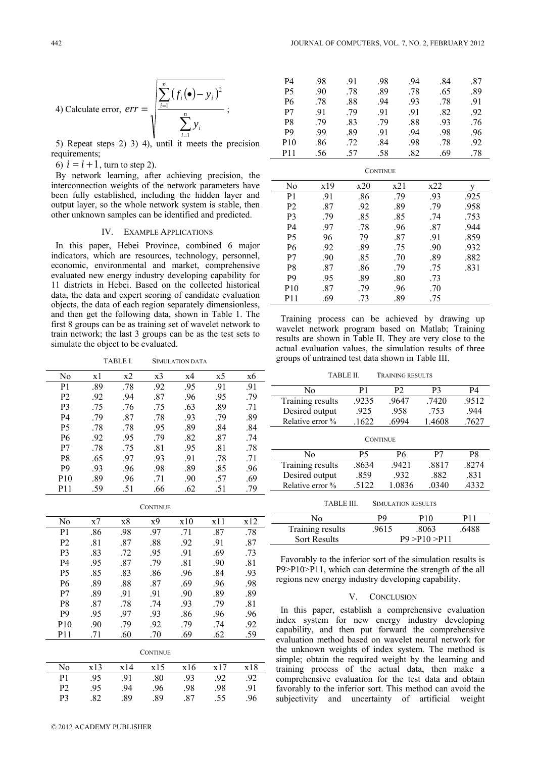4) Calculate error, 
$$
err = \sqrt{\frac{\sum_{i=1}^{n} (f_i(\bullet) - y_i)^2}{\sum_{i=1}^{n} y_i}}
$$
;

5) Repeat steps 2) 3) 4), until it meets the precision requirements:

6)  $i = i + 1$ , turn to step 2).

By network learning, after achieving precision, the interconnection weights of the network parameters have been fully established, including the hidden layer and output layer, so the whole network system is stable, then other unknown samples can be identified and predicted.

#### IV. EXAMPLE APPLICATIONS

In this paper, Hebei Province, combined 6 major indicators, which are resources, technology, personnel, economic, environmental and market, comprehensive evaluated new energy industry developing capability for 11 districts in Hebei. Based on the collected historical data, the data and expert scoring of candidate evaluation objects, the data of each region separately dimensionless, and then get the following data, shown in Table 1. The first 8 groups can be as training set of wavelet network to train network; the last 3 groups can be as the test sets to simulate the object to be evaluated.

TABLE I. SIMULATION DATA

| No              | x1  | x2  | x3  | x4  | x5  | x6  |
|-----------------|-----|-----|-----|-----|-----|-----|
| P <sub>1</sub>  | .89 | .78 | .92 | .95 | .91 | .91 |
| P <sub>2</sub>  | .92 | .94 | .87 | .96 | .95 | .79 |
| P <sub>3</sub>  | -75 | .76 | .75 | .63 | .89 | .71 |
| P4              | -79 | .87 | .78 | .93 | 79  | .89 |
| <b>P5</b>       | .78 | .78 | .95 | .89 | .84 | .84 |
| <b>P6</b>       | .92 | .95 | .79 | .82 | .87 | .74 |
| P7              | .78 | .75 | .81 | .95 | .81 | .78 |
| P <sub>8</sub>  | .65 | .97 | .93 | .91 | .78 | .71 |
| P <sub>9</sub>  | .93 | .96 | .98 | .89 | .85 | .96 |
| P <sub>10</sub> | .89 | .96 | .71 | .90 | .57 | .69 |
| P <sub>11</sub> | -59 | -51 | .66 | .62 | .51 | -79 |

| .98<br>.86<br>.71<br>.87<br>P1<br>.97              | .78 |
|----------------------------------------------------|-----|
| P <sub>2</sub><br>.81<br>.87<br>.88<br>.92<br>.91  | .87 |
| .83<br>P3<br>.91<br>.72<br>.95<br>.69              | .73 |
| .95<br>.79<br>.81<br>P4<br>.87<br>.90              | .81 |
| P <sub>5</sub><br>.85<br>.83<br>.86<br>.96<br>.84  | .93 |
| .89<br>.69<br>P6<br>.88<br>.87<br>.96              | .98 |
| .89<br>.91<br>.89<br>P7<br>.91<br>.90              | .89 |
| P <sub>8</sub><br>.87<br>.78<br>.93<br>.74<br>-79  | .81 |
| P <sub>9</sub><br>.95<br>-97<br>.93<br>.86<br>.96  | .96 |
| P <sub>10</sub><br>.90<br>.79<br>.92<br>.79<br>-74 | .92 |
| .69<br>P11<br>.60<br>.62<br>.70<br>.71             | .59 |

| <b>CONTINUE</b> |
|-----------------|
|-----------------|

| No.            | x13 | x14 | x15 | x16 | x17 | x18 |
|----------------|-----|-----|-----|-----|-----|-----|
| P1.            | .95 | .91 | .80 | .93 | .92 | .92 |
| P <sub>2</sub> | .95 | 94  | .96 | .98 | .98 | .91 |
| P3             | 82  | .89 | .89 | .87 | .55 |     |

© 2012 ACADEMY PUBLISHER

| P4              | .98 | .91 | .98 | .94 | .84 | .87 |
|-----------------|-----|-----|-----|-----|-----|-----|
| <b>P5</b>       | .90 | .78 | .89 | .78 | .65 | .89 |
| <b>P6</b>       | .78 | .88 | .94 | .93 | .78 | .91 |
| P7              | -91 | .79 | .91 | .91 | .82 | .92 |
| P <sub>8</sub>  | 79  | .83 | 79  | .88 | .93 | .76 |
| P <sub>9</sub>  | -99 | .89 | .91 | .94 | .98 | .96 |
| P <sub>10</sub> | .86 | .72 | .84 | .98 | .78 | .92 |
| <b>P11</b>      | .56 | .57 | .58 | .82 | .69 | .78 |

| <b>CONTINUE</b> |     |     |     |     |      |  |
|-----------------|-----|-----|-----|-----|------|--|
| No              | x19 | x20 | x21 | x22 |      |  |
| P <sub>1</sub>  | .91 | .86 | .79 | .93 | .925 |  |
| P <sub>2</sub>  | .87 | .92 | .89 | .79 | .958 |  |
| P <sub>3</sub>  | .79 | .85 | .85 | .74 | .753 |  |
| <b>P4</b>       | .97 | .78 | .96 | .87 | .944 |  |
| <b>P5</b>       | 96  | 79  | .87 | .91 | .859 |  |
| P <sub>6</sub>  | .92 | .89 | .75 | .90 | .932 |  |
| P7              | .90 | .85 | .70 | .89 | .882 |  |
| P <sub>8</sub>  | .87 | .86 | .79 | .75 | .831 |  |
| P <sub>9</sub>  | .95 | .89 | .80 | .73 |      |  |
| P <sub>10</sub> | .87 | .79 | .96 | .70 |      |  |
| <b>P11</b>      | .69 | .73 | .89 | .75 |      |  |

Training process can be achieved by drawing up wavelet network program based on Matlab; Training results are shown in Table II. They are very close to the actual evaluation values, the simulation results of three groups of untrained test data shown in Table III.

TABLE II. TRAINING RESULTS

| No               | P1    | P2    | P3     | P4    |  |  |
|------------------|-------|-------|--------|-------|--|--|
| Training results | .9235 | .9647 | .7420  | .9512 |  |  |
| Desired output   | .925  | .958  | .753   | .944  |  |  |
| Relative error % | .1622 | 6994  | 1.4608 | .7627 |  |  |
| <b>CONTINUE</b>  |       |       |        |       |  |  |
|                  |       |       |        |       |  |  |

| N٥               | Р5   | Р6     | P7   | P8   |
|------------------|------|--------|------|------|
| Training results | 8634 | .9421  | 8817 | 8274 |
| Desired output   | .859 | 932    | 882  | -831 |
| Relative error % | 5122 | 1 0836 | 0340 | 4332 |

TABLE III. SIMULATION RESULTS

| N٥                  | рq    | P10            | P11   |
|---------------------|-------|----------------|-------|
| Training results    | .9615 | .8063          | .6488 |
| <b>Sort Results</b> |       | P9 > P10 > P11 |       |

Favorably to the inferior sort of the simulation results is P9>P10>P11, which can determine the strength of the all regions new energy industry developing capability.

# V. CONCLUSION

In this paper, establish a comprehensive evaluation index system for new energy industry developing capability, and then put forward the comprehensive evaluation method based on wavelet neural network for the unknown weights of index system. The method is simple; obtain the required weight by the learning and training process of the actual data, then make a comprehensive evaluation for the test data and obtain favorably to the inferior sort. This method can avoid the subjectivity and uncertainty of artificial weight